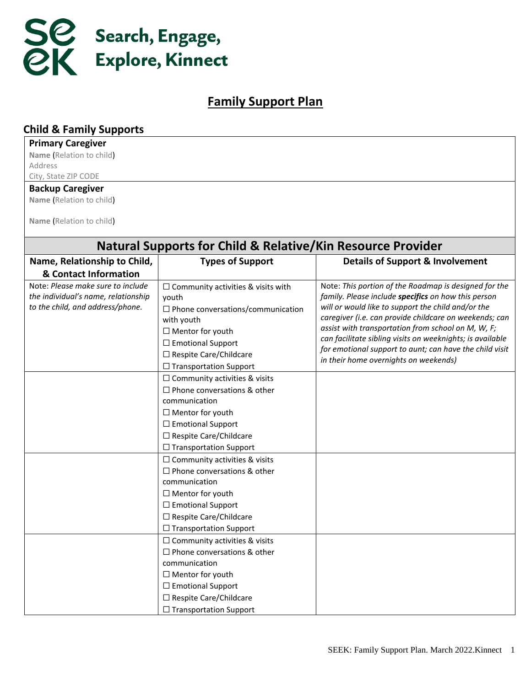

## **Family Support Plan**

## **Child & Family Supports**

## **Primary Caregiver**

**Name** (Relation to child) Address

City, State ZIP CODE

## **Backup Caregiver**

| DALNUP CAI CRIVEI<br>Name (Relation to child)                                                                |                                                                                                                                                                                                                                                                                                                                                                                                                                                                                                                                                                                                                                                                                                                                                                                                                                                          |                                                                                                                                                                                                                                                                                                                                                                                                                                                     |  |  |
|--------------------------------------------------------------------------------------------------------------|----------------------------------------------------------------------------------------------------------------------------------------------------------------------------------------------------------------------------------------------------------------------------------------------------------------------------------------------------------------------------------------------------------------------------------------------------------------------------------------------------------------------------------------------------------------------------------------------------------------------------------------------------------------------------------------------------------------------------------------------------------------------------------------------------------------------------------------------------------|-----------------------------------------------------------------------------------------------------------------------------------------------------------------------------------------------------------------------------------------------------------------------------------------------------------------------------------------------------------------------------------------------------------------------------------------------------|--|--|
| Name (Relation to child)                                                                                     |                                                                                                                                                                                                                                                                                                                                                                                                                                                                                                                                                                                                                                                                                                                                                                                                                                                          |                                                                                                                                                                                                                                                                                                                                                                                                                                                     |  |  |
| <b>Natural Supports for Child &amp; Relative/Kin Resource Provider</b>                                       |                                                                                                                                                                                                                                                                                                                                                                                                                                                                                                                                                                                                                                                                                                                                                                                                                                                          |                                                                                                                                                                                                                                                                                                                                                                                                                                                     |  |  |
| Name, Relationship to Child,<br>& Contact Information                                                        | <b>Types of Support</b>                                                                                                                                                                                                                                                                                                                                                                                                                                                                                                                                                                                                                                                                                                                                                                                                                                  | <b>Details of Support &amp; Involvement</b>                                                                                                                                                                                                                                                                                                                                                                                                         |  |  |
| Note: Please make sure to include<br>the individual's name, relationship<br>to the child, and address/phone. | $\Box$ Community activities & visits with<br>youth<br>$\Box$ Phone conversations/communication<br>with youth<br>$\Box$ Mentor for youth<br>$\Box$ Emotional Support<br>□ Respite Care/Childcare<br>$\Box$ Transportation Support<br>$\Box$ Community activities & visits<br>$\Box$ Phone conversations & other<br>communication<br>$\Box$ Mentor for youth<br>$\Box$ Emotional Support<br>□ Respite Care/Childcare<br>$\Box$ Transportation Support<br>$\Box$ Community activities & visits<br>$\Box$ Phone conversations & other<br>communication<br>$\Box$ Mentor for youth<br>$\Box$ Emotional Support<br>□ Respite Care/Childcare<br>$\Box$ Transportation Support<br>$\Box$ Community activities & visits<br>$\Box$ Phone conversations & other<br>communication<br>$\Box$ Mentor for youth<br>$\Box$ Emotional Support<br>□ Respite Care/Childcare | Note: This portion of the Roadmap is designed for the<br>family. Please include specifics on how this person<br>will or would like to support the child and/or the<br>caregiver (i.e. can provide childcare on weekends; can<br>assist with transportation from school on M, W, F;<br>can facilitate sibling visits on weeknights; is available<br>for emotional support to aunt; can have the child visit<br>in their home overnights on weekends) |  |  |
|                                                                                                              | $\Box$ Transportation Support                                                                                                                                                                                                                                                                                                                                                                                                                                                                                                                                                                                                                                                                                                                                                                                                                            |                                                                                                                                                                                                                                                                                                                                                                                                                                                     |  |  |